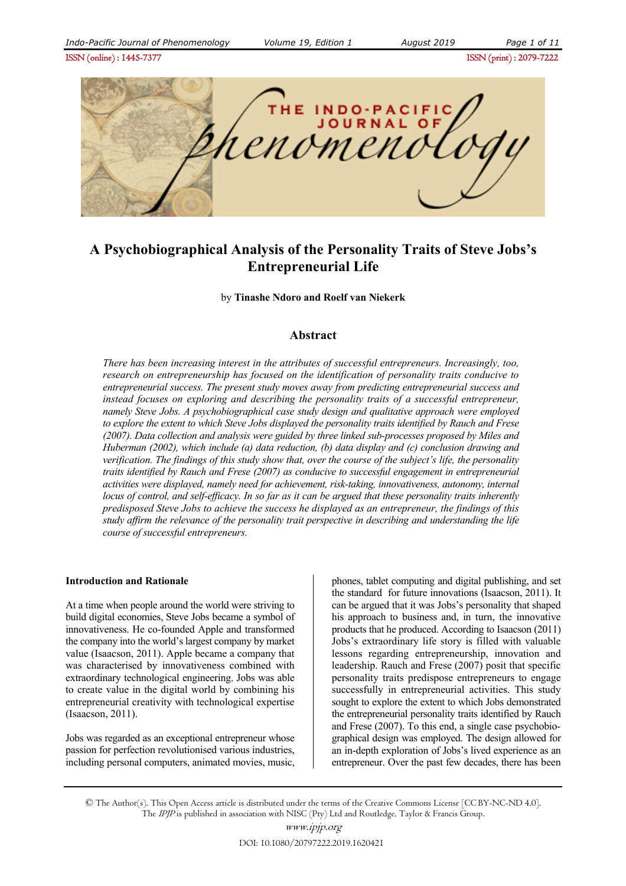ISSN (online) : 1445-7377ISSN (print) : 2079-7222



# **A Psychobiographical Analysis of the Personality Traits of Steve Jobs's Entrepreneurial Life**

by **Tinashe Ndoro and Roelf van Niekerk** 

# **Abstract**

*There has been increasing interest in the attributes of successful entrepreneurs. Increasingly, too, research on entrepreneurship has focused on the identification of personality traits conducive to entrepreneurial success. The present study moves away from predicting entrepreneurial success and instead focuses on exploring and describing the personality traits of a successful entrepreneur, namely Steve Jobs. A psychobiographical case study design and qualitative approach were employed to explore the extent to which Steve Jobs displayed the personality traits identified by Rauch and Frese (2007). Data collection and analysis were guided by three linked sub-processes proposed by Miles and Huberman (2002), which include (a) data reduction, (b) data display and (c) conclusion drawing and verification. The findings of this study show that, over the course of the subject's life, the personality traits identified by Rauch and Frese (2007) as conducive to successful engagement in entrepreneurial activities were displayed, namely need for achievement, risk-taking, innovativeness, autonomy, internal locus of control, and self-efficacy. In so far as it can be argued that these personality traits inherently predisposed Steve Jobs to achieve the success he displayed as an entrepreneur, the findings of this study affirm the relevance of the personality trait perspective in describing and understanding the life course of successful entrepreneurs.*

#### **Introduction and Rationale**

At a time when people around the world were striving to build digital economies, Steve Jobs became a symbol of innovativeness. He co-founded Apple and transformed the company into the world's largest company by market value (Isaacson, 2011). Apple became a company that was characterised by innovativeness combined with extraordinary technological engineering. Jobs was able to create value in the digital world by combining his entrepreneurial creativity with technological expertise (Isaacson, 2011).

Jobs was regarded as an exceptional entrepreneur whose passion for perfection revolutionised various industries, including personal computers, animated movies, music, phones, tablet computing and digital publishing, and set the standard for future innovations (Isaacson, 2011). It can be argued that it was Jobs's personality that shaped his approach to business and, in turn, the innovative products that he produced. According to Isaacson (2011) Jobs's extraordinary life story is filled with valuable lessons regarding entrepreneurship, innovation and leadership. Rauch and Frese (2007) posit that specific personality traits predispose entrepreneurs to engage successfully in entrepreneurial activities. This study sought to explore the extent to which Jobs demonstrated the entrepreneurial personality traits identified by Rauch and Frese (2007). To this end, a single case psychobiographical design was employed. The design allowed for an in-depth exploration of Jobs's lived experience as an entrepreneur. Over the past few decades, there has been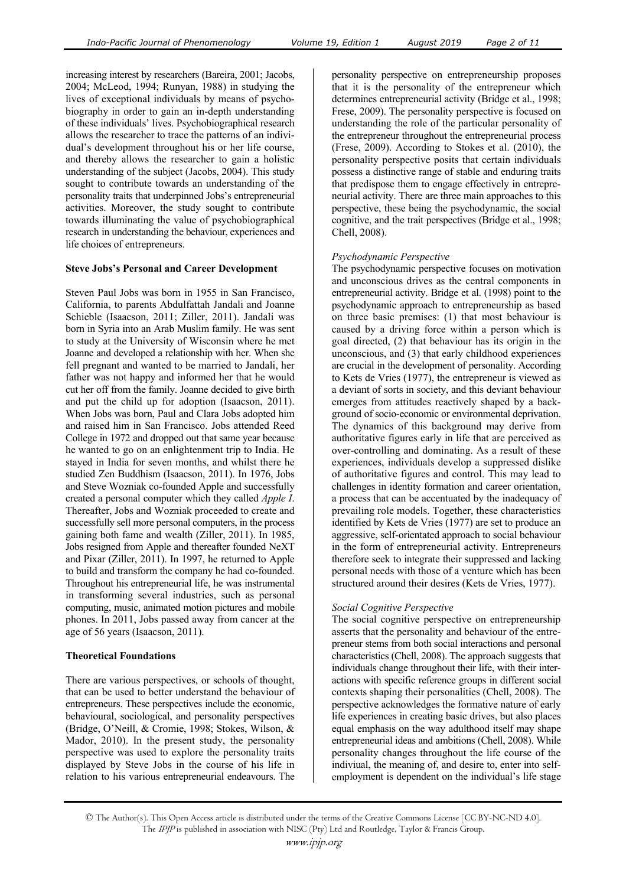increasing interest by researchers (Bareira, 2001; Jacobs, 2004; McLeod, 1994; Runyan, 1988) in studying the lives of exceptional individuals by means of psychobiography in order to gain an in-depth understanding of these individuals' lives. Psychobiographical research allows the researcher to trace the patterns of an individual's development throughout his or her life course, and thereby allows the researcher to gain a holistic understanding of the subject (Jacobs, 2004). This study sought to contribute towards an understanding of the personality traits that underpinned Jobs's entrepreneurial activities. Moreover, the study sought to contribute towards illuminating the value of psychobiographical research in understanding the behaviour, experiences and life choices of entrepreneurs.

#### **Steve Jobs's Personal and Career Development**

Steven Paul Jobs was born in 1955 in San Francisco, California, to parents Abdulfattah Jandali and Joanne Schieble (Isaacson, 2011; Ziller, 2011). Jandali was born in Syria into an Arab Muslim family. He was sent to study at the University of Wisconsin where he met Joanne and developed a relationship with her. When she fell pregnant and wanted to be married to Jandali, her father was not happy and informed her that he would cut her off from the family. Joanne decided to give birth and put the child up for adoption (Isaacson, 2011). When Jobs was born, Paul and Clara Jobs adopted him and raised him in San Francisco. Jobs attended Reed College in 1972 and dropped out that same year because he wanted to go on an enlightenment trip to India. He stayed in India for seven months, and whilst there he studied Zen Buddhism (Isaacson, 2011). In 1976, Jobs and Steve Wozniak co-founded Apple and successfully created a personal computer which they called *Apple I*. Thereafter, Jobs and Wozniak proceeded to create and successfully sell more personal computers, in the process gaining both fame and wealth (Ziller, 2011). In 1985, Jobs resigned from Apple and thereafter founded NeXT and Pixar (Ziller, 2011). In 1997, he returned to Apple to build and transform the company he had co-founded. Throughout his entrepreneurial life, he was instrumental in transforming several industries, such as personal computing, music, animated motion pictures and mobile phones. In 2011, Jobs passed away from cancer at the age of 56 years (Isaacson, 2011).

# **Theoretical Foundations**

There are various perspectives, or schools of thought, that can be used to better understand the behaviour of entrepreneurs. These perspectives include the economic, behavioural, sociological, and personality perspectives (Bridge, O'Neill, & Cromie, 1998; Stokes, Wilson, & Mador, 2010). In the present study, the personality perspective was used to explore the personality traits displayed by Steve Jobs in the course of his life in relation to his various entrepreneurial endeavours. The

personality perspective on entrepreneurship proposes that it is the personality of the entrepreneur which determines entrepreneurial activity (Bridge et al., 1998; Frese, 2009). The personality perspective is focused on understanding the role of the particular personality of the entrepreneur throughout the entrepreneurial process (Frese, 2009). According to Stokes et al. (2010), the personality perspective posits that certain individuals possess a distinctive range of stable and enduring traits that predispose them to engage effectively in entrepreneurial activity. There are three main approaches to this perspective, these being the psychodynamic, the social cognitive, and the trait perspectives (Bridge et al., 1998; Chell, 2008).

#### *Psychodynamic Perspective*

The psychodynamic perspective focuses on motivation and unconscious drives as the central components in entrepreneurial activity. Bridge et al. (1998) point to the psychodynamic approach to entrepreneurship as based on three basic premises: (1) that most behaviour is caused by a driving force within a person which is goal directed, (2) that behaviour has its origin in the unconscious, and (3) that early childhood experiences are crucial in the development of personality. According to Kets de Vries (1977), the entrepreneur is viewed as a deviant of sorts in society, and this deviant behaviour emerges from attitudes reactively shaped by a background of socio-economic or environmental deprivation. The dynamics of this background may derive from authoritative figures early in life that are perceived as over-controlling and dominating. As a result of these experiences, individuals develop a suppressed dislike of authoritative figures and control. This may lead to challenges in identity formation and career orientation, a process that can be accentuated by the inadequacy of prevailing role models. Together, these characteristics identified by Kets de Vries (1977) are set to produce an aggressive, self-orientated approach to social behaviour in the form of entrepreneurial activity. Entrepreneurs therefore seek to integrate their suppressed and lacking personal needs with those of a venture which has been structured around their desires (Kets de Vries, 1977).

# *Social Cognitive Perspective*

The social cognitive perspective on entrepreneurship asserts that the personality and behaviour of the entrepreneur stems from both social interactions and personal characteristics (Chell, 2008). The approach suggests that individuals change throughout their life, with their interactions with specific reference groups in different social contexts shaping their personalities (Chell, 2008). The perspective acknowledges the formative nature of early life experiences in creating basic drives, but also places equal emphasis on the way adulthood itself may shape entrepreneurial ideas and ambitions (Chell, 2008). While personality changes throughout the life course of the indiviual, the meaning of, and desire to, enter into selfemployment is dependent on the individual's life stage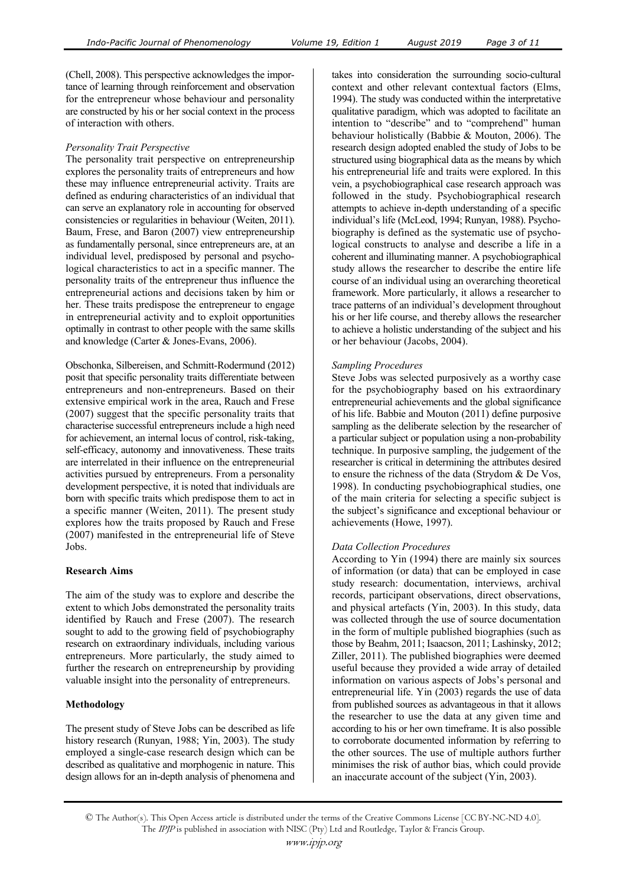(Chell, 2008). This perspective acknowledges the importance of learning through reinforcement and observation for the entrepreneur whose behaviour and personality are constructed by his or her social context in the process of interaction with others.

#### *Personality Trait Perspective*

The personality trait perspective on entrepreneurship explores the personality traits of entrepreneurs and how these may influence entrepreneurial activity. Traits are defined as enduring characteristics of an individual that can serve an explanatory role in accounting for observed consistencies or regularities in behaviour (Weiten, 2011). Baum, Frese, and Baron (2007) view entrepreneurship as fundamentally personal, since entrepreneurs are, at an individual level, predisposed by personal and psychological characteristics to act in a specific manner. The personality traits of the entrepreneur thus influence the entrepreneurial actions and decisions taken by him or her. These traits predispose the entrepreneur to engage in entrepreneurial activity and to exploit opportunities optimally in contrast to other people with the same skills and knowledge (Carter & Jones-Evans, 2006).

Obschonka, Silbereisen, and Schmitt-Rodermund (2012) posit that specific personality traits differentiate between entrepreneurs and non-entrepreneurs. Based on their extensive empirical work in the area, Rauch and Frese (2007) suggest that the specific personality traits that characterise successful entrepreneurs include a high need for achievement, an internal locus of control, risk-taking, self-efficacy, autonomy and innovativeness. These traits are interrelated in their influence on the entrepreneurial activities pursued by entrepreneurs. From a personality development perspective, it is noted that individuals are born with specific traits which predispose them to act in a specific manner (Weiten, 2011). The present study explores how the traits proposed by Rauch and Frese (2007) manifested in the entrepreneurial life of Steve Jobs.

# **Research Aims**

The aim of the study was to explore and describe the extent to which Jobs demonstrated the personality traits identified by Rauch and Frese (2007). The research sought to add to the growing field of psychobiography research on extraordinary individuals, including various entrepreneurs. More particularly, the study aimed to further the research on entrepreneurship by providing valuable insight into the personality of entrepreneurs.

# **Methodology**

The present study of Steve Jobs can be described as life history research (Runyan, 1988; Yin, 2003). The study employed a single-case research design which can be described as qualitative and morphogenic in nature. This design allows for an in-depth analysis of phenomena and takes into consideration the surrounding socio-cultural context and other relevant contextual factors (Elms, 1994). The study was conducted within the interpretative qualitative paradigm, which was adopted to facilitate an intention to "describe" and to "comprehend" human behaviour holistically (Babbie & Mouton, 2006). The research design adopted enabled the study of Jobs to be structured using biographical data as the means by which his entrepreneurial life and traits were explored. In this vein, a psychobiographical case research approach was followed in the study. Psychobiographical research attempts to achieve in-depth understanding of a specific individual's life (McLeod, 1994; Runyan, 1988). Psychobiography is defined as the systematic use of psychological constructs to analyse and describe a life in a coherent and illuminating manner. A psychobiographical study allows the researcher to describe the entire life course of an individual using an overarching theoretical framework. More particularly, it allows a researcher to trace patterns of an individual's development throughout his or her life course, and thereby allows the researcher to achieve a holistic understanding of the subject and his or her behaviour (Jacobs, 2004).

#### *Sampling Procedures*

Steve Jobs was selected purposively as a worthy case for the psychobiography based on his extraordinary entrepreneurial achievements and the global significance of his life. Babbie and Mouton (2011) define purposive sampling as the deliberate selection by the researcher of a particular subject or population using a non-probability technique. In purposive sampling, the judgement of the researcher is critical in determining the attributes desired to ensure the richness of the data (Strydom & De Vos, 1998). In conducting psychobiographical studies, one of the main criteria for selecting a specific subject is the subject's significance and exceptional behaviour or achievements (Howe, 1997).

#### *Data Collection Procedures*

According to Yin (1994) there are mainly six sources of information (or data) that can be employed in case study research: documentation, interviews, archival records, participant observations, direct observations, and physical artefacts (Yin, 2003). In this study, data was collected through the use of source documentation in the form of multiple published biographies (such as those by Beahm, 2011; Isaacson, 2011; Lashinsky, 2012; Ziller, 2011). The published biographies were deemed useful because they provided a wide array of detailed information on various aspects of Jobs's personal and entrepreneurial life. Yin (2003) regards the use of data from published sources as advantageous in that it allows the researcher to use the data at any given time and according to his or her own timeframe. It is also possible to corroborate documented information by referring to the other sources. The use of multiple authors further minimises the risk of author bias, which could provide an inaccurate account of the subject (Yin, 2003).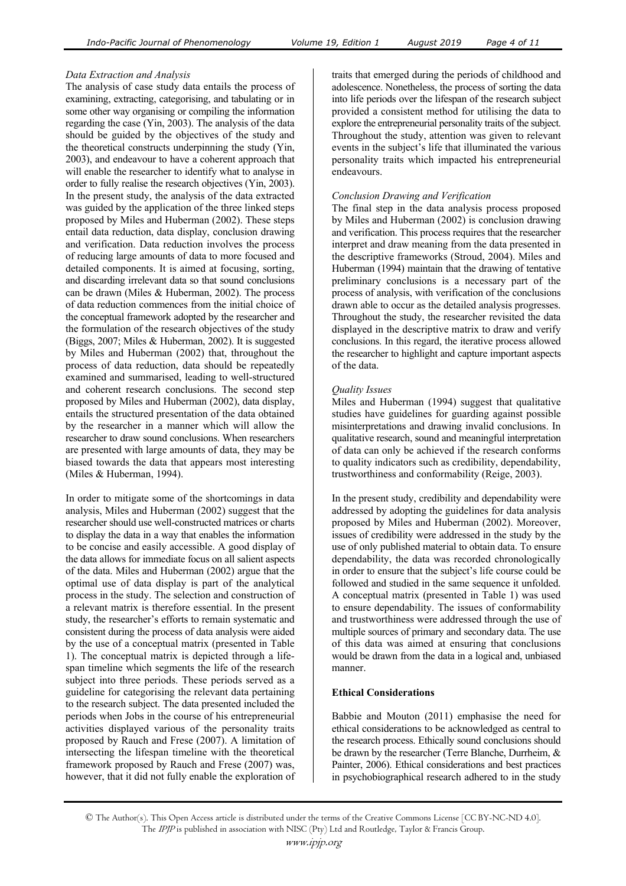# *Data Extraction and Analysis*

The analysis of case study data entails the process of examining, extracting, categorising, and tabulating or in some other way organising or compiling the information regarding the case (Yin, 2003). The analysis of the data should be guided by the objectives of the study and the theoretical constructs underpinning the study (Yin, 2003), and endeavour to have a coherent approach that will enable the researcher to identify what to analyse in order to fully realise the research objectives (Yin, 2003). In the present study, the analysis of the data extracted was guided by the application of the three linked steps proposed by Miles and Huberman (2002). These steps entail data reduction, data display, conclusion drawing and verification. Data reduction involves the process of reducing large amounts of data to more focused and detailed components. It is aimed at focusing, sorting, and discarding irrelevant data so that sound conclusions can be drawn (Miles & Huberman, 2002). The process of data reduction commences from the initial choice of the conceptual framework adopted by the researcher and the formulation of the research objectives of the study (Biggs, 2007; Miles & Huberman, 2002). It is suggested by Miles and Huberman (2002) that, throughout the process of data reduction, data should be repeatedly examined and summarised, leading to well-structured and coherent research conclusions. The second step proposed by Miles and Huberman (2002), data display, entails the structured presentation of the data obtained by the researcher in a manner which will allow the researcher to draw sound conclusions. When researchers are presented with large amounts of data, they may be biased towards the data that appears most interesting (Miles & Huberman, 1994).

In order to mitigate some of the shortcomings in data analysis, Miles and Huberman (2002) suggest that the researcher should use well-constructed matrices or charts to display the data in a way that enables the information to be concise and easily accessible. A good display of the data allows for immediate focus on all salient aspects of the data. Miles and Huberman (2002) argue that the optimal use of data display is part of the analytical process in the study. The selection and construction of a relevant matrix is therefore essential. In the present study, the researcher's efforts to remain systematic and consistent during the process of data analysis were aided by the use of a conceptual matrix (presented in Table 1). The conceptual matrix is depicted through a lifespan timeline which segments the life of the research subject into three periods. These periods served as a guideline for categorising the relevant data pertaining to the research subject. The data presented included the periods when Jobs in the course of his entrepreneurial activities displayed various of the personality traits proposed by Rauch and Frese (2007). A limitation of intersecting the lifespan timeline with the theoretical framework proposed by Rauch and Frese (2007) was, however, that it did not fully enable the exploration of

traits that emerged during the periods of childhood and adolescence. Nonetheless, the process of sorting the data into life periods over the lifespan of the research subject provided a consistent method for utilising the data to explore the entrepreneurial personality traits of the subject. Throughout the study, attention was given to relevant events in the subject's life that illuminated the various personality traits which impacted his entrepreneurial endeavours.

# *Conclusion Drawing and Verification*

The final step in the data analysis process proposed by Miles and Huberman (2002) is conclusion drawing and verification. This process requires that the researcher interpret and draw meaning from the data presented in the descriptive frameworks (Stroud, 2004). Miles and Huberman (1994) maintain that the drawing of tentative preliminary conclusions is a necessary part of the process of analysis, with verification of the conclusions drawn able to occur as the detailed analysis progresses. Throughout the study, the researcher revisited the data displayed in the descriptive matrix to draw and verify conclusions. In this regard, the iterative process allowed the researcher to highlight and capture important aspects of the data.

# *Quality Issues*

Miles and Huberman (1994) suggest that qualitative studies have guidelines for guarding against possible misinterpretations and drawing invalid conclusions. In qualitative research, sound and meaningful interpretation of data can only be achieved if the research conforms to quality indicators such as credibility, dependability, trustworthiness and conformability (Reige, 2003).

In the present study, credibility and dependability were addressed by adopting the guidelines for data analysis proposed by Miles and Huberman (2002). Moreover, issues of credibility were addressed in the study by the use of only published material to obtain data. To ensure dependability, the data was recorded chronologically in order to ensure that the subject's life course could be followed and studied in the same sequence it unfolded. A conceptual matrix (presented in Table 1) was used to ensure dependability. The issues of conformability and trustworthiness were addressed through the use of multiple sources of primary and secondary data. The use of this data was aimed at ensuring that conclusions would be drawn from the data in a logical and, unbiased manner.

# **Ethical Considerations**

Babbie and Mouton (2011) emphasise the need for ethical considerations to be acknowledged as central to the research process. Ethically sound conclusions should be drawn by the researcher (Terre Blanche, Durrheim, & Painter, 2006). Ethical considerations and best practices in psychobiographical research adhered to in the study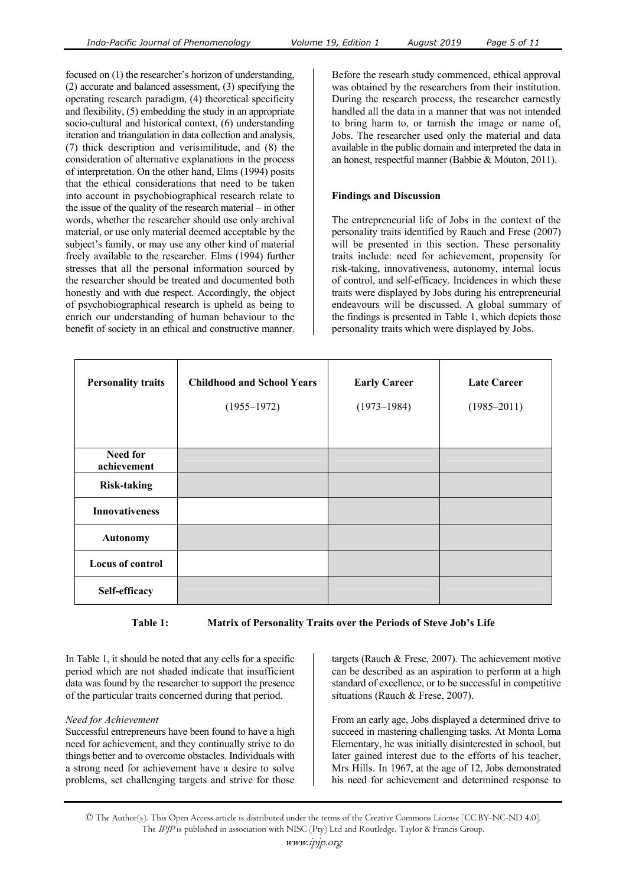focused on (1) the researcher's horizon of understanding, (2) accurate and balanced assessment, (3) specifying the operating research paradigm, (4) theoretical specificity and flexibility, (5) embedding the study in an appropriate socio-cultural and historical context, (6) understanding iteration and triangulation in data collection and analysis, (7) thick description and verisimilitude, and (8) the consideration of alternative explanations in the process of interpretation. On the other hand, Elms (1994) posits that the ethical considerations that need to be taken into account in psychobiographical research relate to the issue of the quality of the research material – in other words, whether the researcher should use only archival material, or use only material deemed acceptable by the subject's family, or may use any other kind of material freely available to the researcher. Elms (1994) further stresses that all the personal information sourced by the researcher should be treated and documented both honestly and with due respect. Accordingly, the object of psychobiographical research is upheld as being to enrich our understanding of human behaviour to the benefit of society in an ethical and constructive manner.

Before the researh study commenced, ethical approval was obtained by the researchers from their institution. During the research process, the researcher earnestly handled all the data in a manner that was not intended to bring harm to, or tarnish the image or name of, Jobs. The researcher used only the material and data available in the public domain and interpreted the data in an honest, respectful manner (Babbie & Mouton, 2011).

#### **Findings and Discussion**

The entrepreneurial life of Jobs in the context of the personality traits identified by Rauch and Frese (2007) will be presented in this section. These personality traits include: need for achievement, propensity for risk-taking, innovativeness, autonomy, internal locus of control, and self-efficacy. Incidences in which these traits were displayed by Jobs during his entrepreneurial endeavours will be discussed. A global summary of the findings is presented in Table 1, which depicts those personality traits which were displayed by Jobs.

| <b>Personality traits</b>      | <b>Childhood and School Years</b> | <b>Early Career</b> | <b>Late Career</b> |
|--------------------------------|-----------------------------------|---------------------|--------------------|
|                                | $(1955 - 1972)$                   | $(1973 - 1984)$     | $(1985 - 2011)$    |
|                                |                                   |                     |                    |
| <b>Need for</b><br>achievement |                                   |                     |                    |
| <b>Risk-taking</b>             |                                   |                     |                    |
| <b>Innovativeness</b>          |                                   |                     |                    |
| <b>Autonomy</b>                |                                   |                     |                    |
| <b>Locus of control</b>        |                                   |                     |                    |
| Self-efficacy                  |                                   |                     |                    |

**Table 1: Matrix of Personality Traits over the Periods of Steve Job's Life** 

In Table 1, it should be noted that any cells for a specific period which are not shaded indicate that insufficient data was found by the researcher to support the presence of the particular traits concerned during that period.

# *Need for Achievement*

Successful entrepreneurs have been found to have a high need for achievement, and they continually strive to do things better and to overcome obstacles. Individuals with a strong need for achievement have a desire to solve problems, set challenging targets and strive for those targets (Rauch & Frese, 2007). The achievement motive can be described as an aspiration to perform at a high standard of excellence, or to be successful in competitive situations (Rauch & Frese, 2007).

From an early age, Jobs displayed a determined drive to succeed in mastering challenging tasks. At Monta Loma Elementary, he was initially disinterested in school, but later gained interest due to the efforts of his teacher, Mrs Hills. In 1967, at the age of 12, Jobs demonstrated his need for achievement and determined response to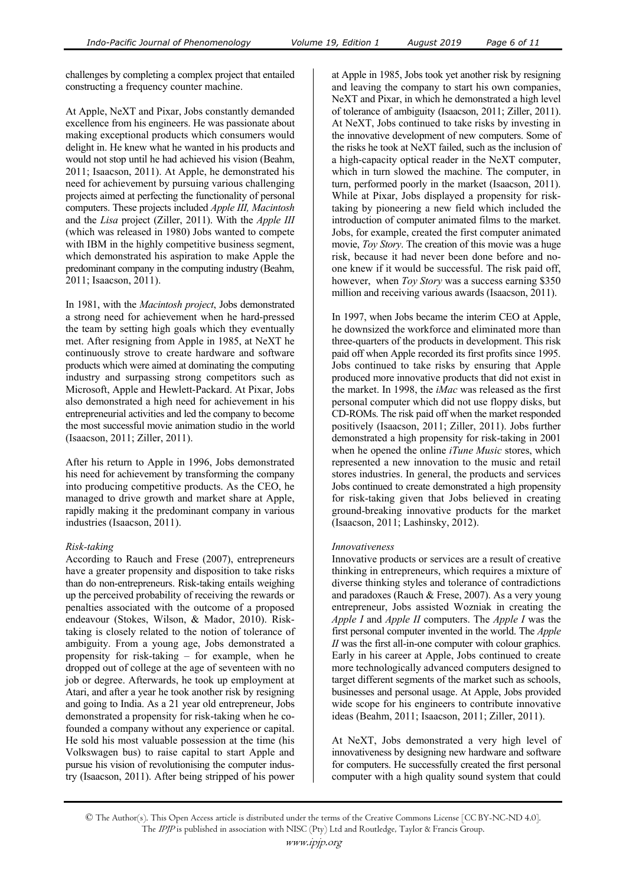challenges by completing a complex project that entailed constructing a frequency counter machine.

At Apple, NeXT and Pixar, Jobs constantly demanded excellence from his engineers. He was passionate about making exceptional products which consumers would delight in. He knew what he wanted in his products and would not stop until he had achieved his vision (Beahm, 2011; Isaacson, 2011). At Apple, he demonstrated his need for achievement by pursuing various challenging projects aimed at perfecting the functionality of personal computers. These projects included *Apple III, Macintosh* and the *Lisa* project (Ziller, 2011). With the *Apple III* (which was released in 1980) Jobs wanted to compete with IBM in the highly competitive business segment, which demonstrated his aspiration to make Apple the predominant company in the computing industry (Beahm, 2011; Isaacson, 2011).

In 1981, with the *Macintosh project*, Jobs demonstrated a strong need for achievement when he hard-pressed the team by setting high goals which they eventually met. After resigning from Apple in 1985, at NeXT he continuously strove to create hardware and software products which were aimed at dominating the computing industry and surpassing strong competitors such as Microsoft, Apple and Hewlett-Packard. At Pixar, Jobs also demonstrated a high need for achievement in his entrepreneurial activities and led the company to become the most successful movie animation studio in the world (Isaacson, 2011; Ziller, 2011).

After his return to Apple in 1996, Jobs demonstrated his need for achievement by transforming the company into producing competitive products. As the CEO, he managed to drive growth and market share at Apple, rapidly making it the predominant company in various industries (Isaacson, 2011).

#### *Risk-taking*

According to Rauch and Frese (2007), entrepreneurs have a greater propensity and disposition to take risks than do non-entrepreneurs. Risk-taking entails weighing up the perceived probability of receiving the rewards or penalties associated with the outcome of a proposed endeavour (Stokes, Wilson, & Mador, 2010). Risktaking is closely related to the notion of tolerance of ambiguity. From a young age, Jobs demonstrated a propensity for risk-taking – for example, when he dropped out of college at the age of seventeen with no job or degree. Afterwards, he took up employment at Atari, and after a year he took another risk by resigning and going to India. As a 21 year old entrepreneur, Jobs demonstrated a propensity for risk-taking when he cofounded a company without any experience or capital. He sold his most valuable possession at the time (his Volkswagen bus) to raise capital to start Apple and pursue his vision of revolutionising the computer industry (Isaacson, 2011). After being stripped of his power

at Apple in 1985, Jobs took yet another risk by resigning and leaving the company to start his own companies, NeXT and Pixar, in which he demonstrated a high level of tolerance of ambiguity (Isaacson, 2011; Ziller, 2011). At NeXT, Jobs continued to take risks by investing in the innovative development of new computers. Some of the risks he took at NeXT failed, such as the inclusion of a high-capacity optical reader in the NeXT computer, which in turn slowed the machine. The computer, in turn, performed poorly in the market (Isaacson, 2011). While at Pixar, Jobs displayed a propensity for risktaking by pioneering a new field which included the introduction of computer animated films to the market. Jobs, for example, created the first computer animated movie, *Toy Story*. The creation of this movie was a huge risk, because it had never been done before and noone knew if it would be successful. The risk paid off, however, when *Toy Story* was a success earning \$350 million and receiving various awards (Isaacson, 2011).

In 1997, when Jobs became the interim CEO at Apple, he downsized the workforce and eliminated more than three-quarters of the products in development. This risk paid off when Apple recorded its first profits since 1995. Jobs continued to take risks by ensuring that Apple produced more innovative products that did not exist in the market. In 1998, the *iMac* was released as the first personal computer which did not use floppy disks, but CD-ROMs. The risk paid off when the market responded positively (Isaacson, 2011; Ziller, 2011). Jobs further demonstrated a high propensity for risk-taking in 2001 when he opened the online *iTune Music* stores, which represented a new innovation to the music and retail stores industries. In general, the products and services Jobs continued to create demonstrated a high propensity for risk-taking given that Jobs believed in creating ground-breaking innovative products for the market (Isaacson, 2011; Lashinsky, 2012).

#### *Innovativeness*

Innovative products or services are a result of creative thinking in entrepreneurs, which requires a mixture of diverse thinking styles and tolerance of contradictions and paradoxes (Rauch & Frese, 2007). As a very young entrepreneur, Jobs assisted Wozniak in creating the *Apple I* and *Apple II* computers. The *Apple I* was the first personal computer invented in the world. The *Apple II* was the first all-in-one computer with colour graphics. Early in his career at Apple, Jobs continued to create more technologically advanced computers designed to target different segments of the market such as schools, businesses and personal usage. At Apple, Jobs provided wide scope for his engineers to contribute innovative ideas (Beahm, 2011; Isaacson, 2011; Ziller, 2011).

At NeXT, Jobs demonstrated a very high level of innovativeness by designing new hardware and software for computers. He successfully created the first personal computer with a high quality sound system that could

<sup>©</sup> The Author(s). This Open Access article is distributed under the terms of the Creative Commons License [CC BY-NC-ND 4.0]. The IPJP is published in association with NISC (Pty) Ltd and Routledge, Taylor & Francis Group.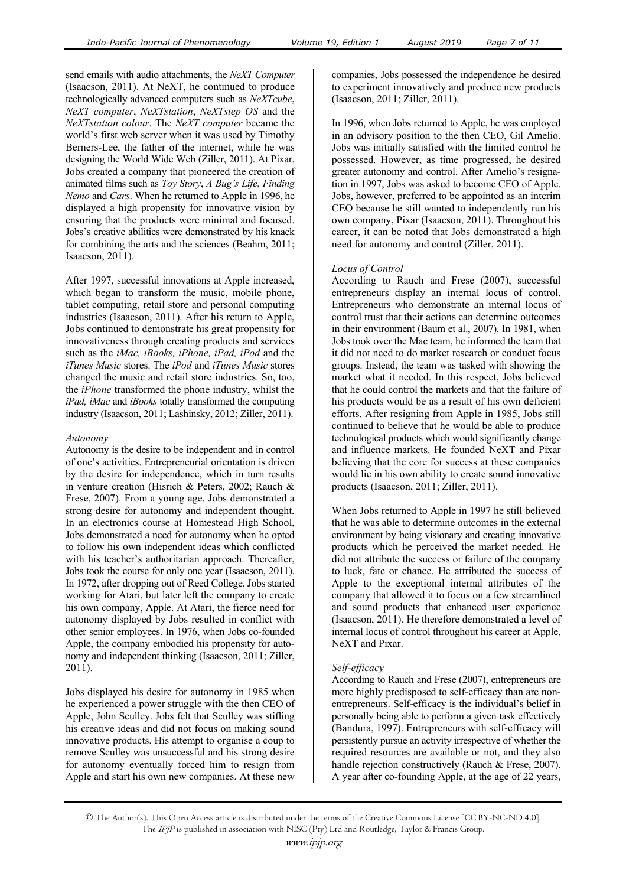send emails with audio attachments, the *NeXT Computer* (Isaacson, 2011). At NeXT, he continued to produce technologically advanced computers such as *NeXTcube*, *NeXT computer*, *NeXTstation*, *NeXTstep OS* and the *NeXTstation colour*. The *NeXT computer* became the world's first web server when it was used by Timothy Berners-Lee, the father of the internet, while he was designing the World Wide Web (Ziller, 2011). At Pixar, Jobs created a company that pioneered the creation of animated films such as *Toy Story*, *A Bug's Life*, *Finding Nemo* and *Cars*. When he returned to Apple in 1996, he displayed a high propensity for innovative vision by ensuring that the products were minimal and focused. Jobs's creative abilities were demonstrated by his knack for combining the arts and the sciences (Beahm, 2011; Isaacson, 2011).

After 1997, successful innovations at Apple increased, which began to transform the music, mobile phone, tablet computing, retail store and personal computing industries (Isaacson, 2011). After his return to Apple, Jobs continued to demonstrate his great propensity for innovativeness through creating products and services such as the *iMac, iBooks, iPhone, iPad, iPod* and the *iTunes Music* stores. The *iPod* and *iTunes Music* stores changed the music and retail store industries. So, too, the *iPhone* transformed the phone industry, whilst the *iPad, iMac* and *iBooks* totally transformed the computing industry (Isaacson, 2011; Lashinsky, 2012; Ziller, 2011).

#### *Autonomy*

Autonomy is the desire to be independent and in control of one's activities. Entrepreneurial orientation is driven by the desire for independence, which in turn results in venture creation (Hisrich & Peters, 2002; Rauch & Frese, 2007). From a young age, Jobs demonstrated a strong desire for autonomy and independent thought. In an electronics course at Homestead High School, Jobs demonstrated a need for autonomy when he opted to follow his own independent ideas which conflicted with his teacher's authoritarian approach. Thereafter, Jobs took the course for only one year (Isaacson, 2011). In 1972, after dropping out of Reed College, Jobs started working for Atari, but later left the company to create his own company, Apple. At Atari, the fierce need for autonomy displayed by Jobs resulted in conflict with other senior employees. In 1976, when Jobs co-founded Apple, the company embodied his propensity for autonomy and independent thinking (Isaacson, 2011; Ziller, 2011).

Jobs displayed his desire for autonomy in 1985 when he experienced a power struggle with the then CEO of Apple, John Sculley. Jobs felt that Sculley was stifling his creative ideas and did not focus on making sound innovative products. His attempt to organise a coup to remove Sculley was unsuccessful and his strong desire for autonomy eventually forced him to resign from Apple and start his own new companies. At these new

companies, Jobs possessed the independence he desired to experiment innovatively and produce new products (Isaacson, 2011; Ziller, 2011).

In 1996, when Jobs returned to Apple, he was employed in an advisory position to the then CEO, Gil Amelio. Jobs was initially satisfied with the limited control he possessed. However, as time progressed, he desired greater autonomy and control. After Amelio's resignation in 1997, Jobs was asked to become CEO of Apple. Jobs, however, preferred to be appointed as an interim CEO because he still wanted to independently run his own company, Pixar (Isaacson, 2011). Throughout his career, it can be noted that Jobs demonstrated a high need for autonomy and control (Ziller, 2011).

#### *Locus of Control*

According to Rauch and Frese (2007), successful entrepreneurs display an internal locus of control. Entrepreneurs who demonstrate an internal locus of control trust that their actions can determine outcomes in their environment (Baum et al., 2007). In 1981, when Jobs took over the Mac team, he informed the team that it did not need to do market research or conduct focus groups. Instead, the team was tasked with showing the market what it needed. In this respect, Jobs believed that he could control the markets and that the failure of his products would be as a result of his own deficient efforts. After resigning from Apple in 1985, Jobs still continued to believe that he would be able to produce technological products which would significantly change and influence markets. He founded NeXT and Pixar believing that the core for success at these companies would lie in his own ability to create sound innovative products (Isaacson, 2011; Ziller, 2011).

When Jobs returned to Apple in 1997 he still believed that he was able to determine outcomes in the external environment by being visionary and creating innovative products which he perceived the market needed. He did not attribute the success or failure of the company to luck, fate or chance. He attributed the success of Apple to the exceptional internal attributes of the company that allowed it to focus on a few streamlined and sound products that enhanced user experience (Isaacson, 2011). He therefore demonstrated a level of internal locus of control throughout his career at Apple, NeXT and Pixar.

# *Self-efficacy*

According to Rauch and Frese (2007), entrepreneurs are more highly predisposed to self-efficacy than are nonentrepreneurs. Self-efficacy is the individual's belief in personally being able to perform a given task effectively (Bandura, 1997). Entrepreneurs with self-efficacy will persistently pursue an activity irrespective of whether the required resources are available or not, and they also handle rejection constructively (Rauch & Frese, 2007). A year after co-founding Apple, at the age of 22 years,

<sup>©</sup> The Author(s). This Open Access article is distributed under the terms of the Creative Commons License [CC BY-NC-ND 4.0]. The IPJP is published in association with NISC (Pty) Ltd and Routledge, Taylor & Francis Group.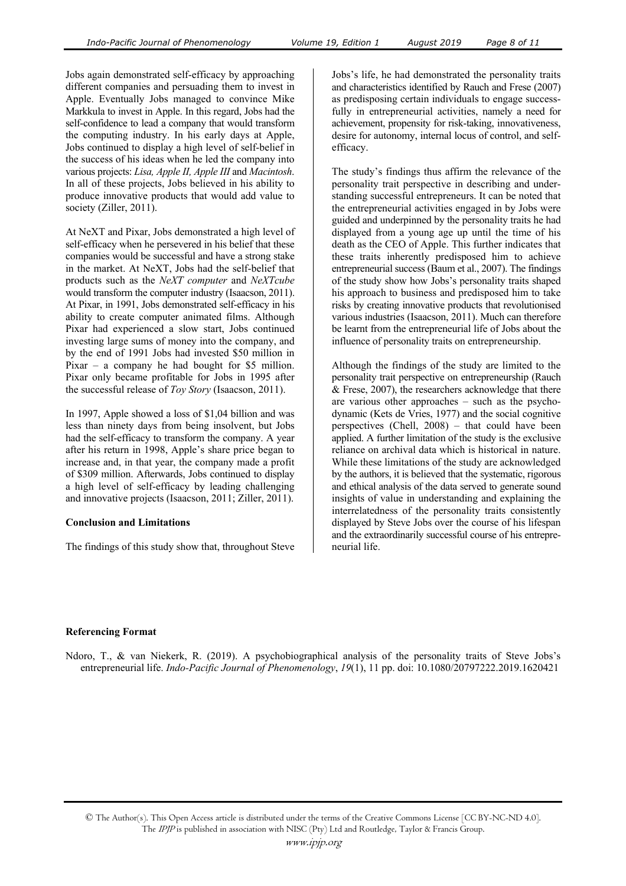Jobs again demonstrated self-efficacy by approaching different companies and persuading them to invest in Apple. Eventually Jobs managed to convince Mike Markkula to invest in Apple. In this regard, Jobs had the self-confidence to lead a company that would transform the computing industry. In his early days at Apple, Jobs continued to display a high level of self-belief in the success of his ideas when he led the company into various projects: *Lisa, Apple II, Apple III* and *Macintosh*. In all of these projects, Jobs believed in his ability to produce innovative products that would add value to society (Ziller, 2011).

At NeXT and Pixar, Jobs demonstrated a high level of self-efficacy when he persevered in his belief that these companies would be successful and have a strong stake in the market. At NeXT, Jobs had the self-belief that products such as the *NeXT computer* and *NeXTcube* would transform the computer industry (Isaacson, 2011). At Pixar, in 1991, Jobs demonstrated self-efficacy in his ability to create computer animated films. Although Pixar had experienced a slow start, Jobs continued investing large sums of money into the company, and by the end of 1991 Jobs had invested \$50 million in Pixar – a company he had bought for \$5 million. Pixar only became profitable for Jobs in 1995 after the successful release of *Toy Story* (Isaacson, 2011).

In 1997, Apple showed a loss of \$1,04 billion and was less than ninety days from being insolvent, but Jobs had the self-efficacy to transform the company. A year after his return in 1998, Apple's share price began to increase and, in that year, the company made a profit of \$309 million. Afterwards, Jobs continued to display a high level of self-efficacy by leading challenging and innovative projects (Isaacson, 2011; Ziller, 2011).

# **Conclusion and Limitations**

The findings of this study show that, throughout Steve

Jobs's life, he had demonstrated the personality traits and characteristics identified by Rauch and Frese (2007) as predisposing certain individuals to engage successfully in entrepreneurial activities, namely a need for achievement, propensity for risk-taking, innovativeness, desire for autonomy, internal locus of control, and selfefficacy.

The study's findings thus affirm the relevance of the personality trait perspective in describing and understanding successful entrepreneurs. It can be noted that the entrepreneurial activities engaged in by Jobs were guided and underpinned by the personality traits he had displayed from a young age up until the time of his death as the CEO of Apple. This further indicates that these traits inherently predisposed him to achieve entrepreneurial success (Baum et al., 2007). The findings of the study show how Jobs's personality traits shaped his approach to business and predisposed him to take risks by creating innovative products that revolutionised various industries (Isaacson, 2011). Much can therefore be learnt from the entrepreneurial life of Jobs about the influence of personality traits on entrepreneurship.

Although the findings of the study are limited to the personality trait perspective on entrepreneurship (Rauch & Frese, 2007), the researchers acknowledge that there are various other approaches – such as the psychodynamic (Kets de Vries, 1977) and the social cognitive perspectives (Chell, 2008) – that could have been applied. A further limitation of the study is the exclusive reliance on archival data which is historical in nature. While these limitations of the study are acknowledged by the authors, it is believed that the systematic, rigorous and ethical analysis of the data served to generate sound insights of value in understanding and explaining the interrelatedness of the personality traits consistently displayed by Steve Jobs over the course of his lifespan and the extraordinarily successful course of his entrepreneurial life.

# **Referencing Format**

Ndoro, T., & van Niekerk, R. (2019). A psychobiographical analysis of the personality traits of Steve Jobs's entrepreneurial life. *Indo-Pacific Journal of Phenomenology*, *19*(1), 11 pp. doi: 10.1080/20797222.2019.1620421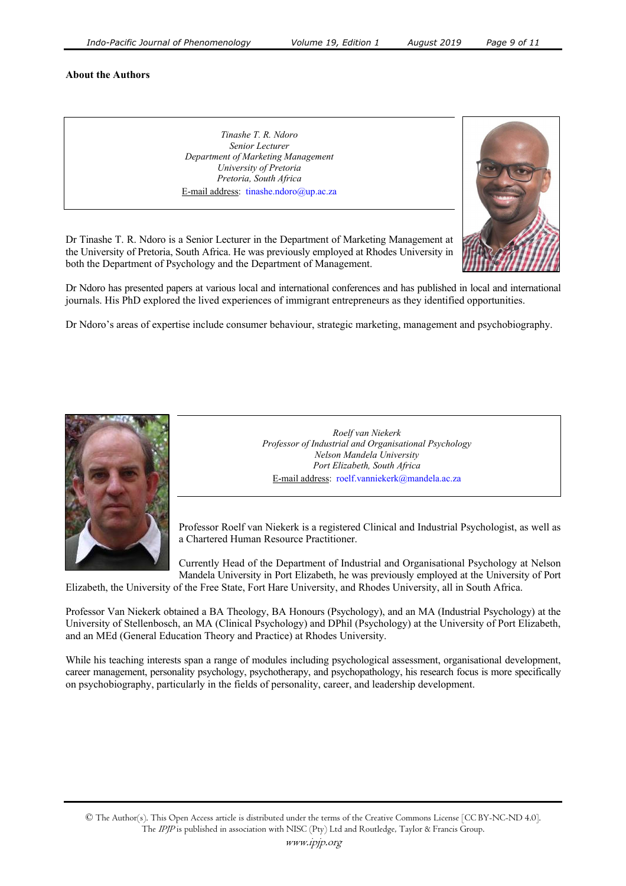#### **About the Authors**

*Tinashe T. R. Ndoro Senior Lecturer Department of Marketing Management University of Pretoria Pretoria, South Africa*  E-mail address: tinashe.ndoro@up.ac.za



Dr Tinashe T. R. Ndoro is a Senior Lecturer in the Department of Marketing Management at the University of Pretoria, South Africa. He was previously employed at Rhodes University in both the Department of Psychology and the Department of Management.

Dr Ndoro has presented papers at various local and international conferences and has published in local and international journals. His PhD explored the lived experiences of immigrant entrepreneurs as they identified opportunities.

Dr Ndoro's areas of expertise include consumer behaviour, strategic marketing, management and psychobiography.



*Roelf van Niekerk Professor of Industrial and Organisational Psychology Nelson Mandela University Port Elizabeth, South Africa*  E-mail address: roelf.vanniekerk@mandela.ac.za

Professor Roelf van Niekerk is a registered Clinical and Industrial Psychologist, as well as a Chartered Human Resource Practitioner.

Currently Head of the Department of Industrial and Organisational Psychology at Nelson Mandela University in Port Elizabeth, he was previously employed at the University of Port

Elizabeth, the University of the Free State, Fort Hare University, and Rhodes University, all in South Africa.

Professor Van Niekerk obtained a BA Theology, BA Honours (Psychology), and an MA (Industrial Psychology) at the University of Stellenbosch, an MA (Clinical Psychology) and DPhil (Psychology) at the University of Port Elizabeth, and an MEd (General Education Theory and Practice) at Rhodes University.

While his teaching interests span a range of modules including psychological assessment, organisational development, career management, personality psychology, psychotherapy, and psychopathology, his research focus is more specifically on psychobiography, particularly in the fields of personality, career, and leadership development.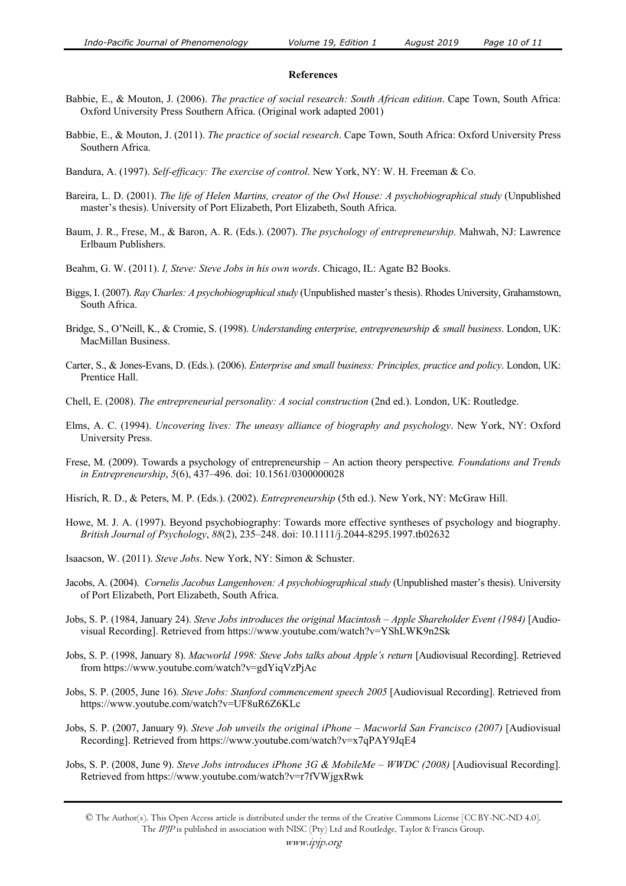#### **References**

- Babbie, E., & Mouton, J. (2006). *The practice of social research: South African edition*. Cape Town, South Africa: Oxford University Press Southern Africa. (Original work adapted 2001)
- Babbie, E., & Mouton, J. (2011). *The practice of social research*. Cape Town, South Africa: Oxford University Press Southern Africa.
- Bandura, A. (1997). *Self-efficacy: The exercise of control*. New York, NY: W. H. Freeman & Co.
- Bareira, L. D. (2001). *The life of Helen Martins, creator of the Owl House: A psychobiographical study* (Unpublished master's thesis). University of Port Elizabeth, Port Elizabeth, South Africa.
- Baum, J. R., Frese, M., & Baron, A. R. (Eds.). (2007). *The psychology of entrepreneurship*. Mahwah, NJ: Lawrence Erlbaum Publishers.
- Beahm, G. W. (2011). *I, Steve: Steve Jobs in his own words*. Chicago, IL: Agate B2 Books.
- Biggs, I. (2007). *Ray Charles: A psychobiographical study* (Unpublished master's thesis). Rhodes University, Grahamstown, South Africa.
- Bridge, S., O'Neill, K., & Cromie, S. (1998). *Understanding enterprise, entrepreneurship & small business*. London, UK: MacMillan Business.
- Carter, S., & Jones-Evans, D. (Eds.). (2006). *Enterprise and small business: Principles, practice and policy*. London, UK: Prentice Hall.
- Chell, E. (2008). *The entrepreneurial personality: A social construction* (2nd ed.). London, UK: Routledge.
- Elms, A. C. (1994). *Uncovering lives: The uneasy alliance of biography and psychology*. New York, NY: Oxford University Press.
- Frese, M. (2009). Towards a psychology of entrepreneurship An action theory perspective*. Foundations and Trends in Entrepreneurship*, *5*(6), 437–496. doi: 10.1561/0300000028
- Hisrich, R. D., & Peters, M. P. (Eds.). (2002). *Entrepreneurship* (5th ed.). New York, NY: McGraw Hill.
- Howe, M. J. A. (1997). Beyond psychobiography: Towards more effective syntheses of psychology and biography. *British Journal of Psychology*, *88*(2), 235–248. doi: 10.1111/j.2044-8295.1997.tb02632
- Isaacson, W. (2011). *Steve Jobs*. New York, NY: Simon & Schuster.
- Jacobs, A. (2004). *Cornelis Jacobus Langenhoven: A psychobiographical study* (Unpublished master's thesis). University of Port Elizabeth, Port Elizabeth, South Africa.
- Jobs, S. P. (1984, January 24). *Steve Jobs introduces the original Macintosh Apple Shareholder Event (1984)* [Audiovisual Recording]. Retrieved from https://www.youtube.com/watch?v=YShLWK9n2Sk
- Jobs, S. P. (1998, January 8). *Macworld 1998: Steve Jobs talks about Apple's return* [Audiovisual Recording]. Retrieved from https://www.youtube.com/watch?v=gdYiqVzPjAc
- Jobs, S. P. (2005, June 16). *Steve Jobs: Stanford commencement speech 2005* [Audiovisual Recording]. Retrieved from https://www.youtube.com/watch?v=UF8uR6Z6KLc
- Jobs, S. P. (2007, January 9). *Steve Job unveils the original iPhone Macworld San Francisco (2007)* [Audiovisual Recording]. Retrieved from https://www.youtube.com/watch?v=x7qPAY9JqE4
- Jobs, S. P. (2008, June 9). *Steve Jobs introduces iPhone 3G & MobileMe WWDC (2008)* [Audiovisual Recording]. Retrieved from https://www.youtube.com/watch?v=r7fVWjgxRwk

<sup>©</sup> The Author(s). This Open Access article is distributed under the terms of the Creative Commons License [CC BY-NC-ND 4.0]. The IPJP is published in association with NISC (Pty) Ltd and Routledge, Taylor & Francis Group.